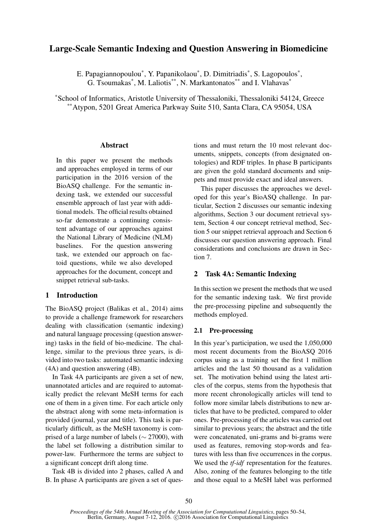# Large-Scale Semantic Indexing and Question Answering in Biomedicine

E. Papagiannopoulou<sup>\*</sup>, Y. Papanikolaou<sup>\*</sup>, D. Dimitriadis<sup>\*</sup>, S. Lagopoulos<sup>\*</sup>, G. Tsoumakas<sup>\*</sup>, M. Laliotis<sup>\*\*</sup>, N. Markantonatos<sup>\*\*</sup> and I. Vlahavas<sup>\*</sup>

\*School of Informatics, Aristotle University of Thessaloniki, Thessaloniki 54124, Greece \*\*Atypon, 5201 Great America Parkway Suite 510, Santa Clara, CA 95054, USA

### **Abstract**

In this paper we present the methods and approaches employed in terms of our participation in the 2016 version of the BioASQ challenge. For the semantic indexing task, we extended our successful ensemble approach of last year with additional models. The official results obtained so-far demonstrate a continuing consistent advantage of our approaches against the National Library of Medicine (NLM) baselines. For the question answering task, we extended our approach on factoid questions, while we also developed approaches for the document, concept and snippet retrieval sub-tasks.

# 1 Introduction

The BioASQ project (Balikas et al., 2014) aims to provide a challenge framework for researchers dealing with classification (semantic indexing) and natural language processing (question answering) tasks in the field of bio-medicine. The challenge, similar to the previous three years, is divided into two tasks: automated semantic indexing (4A) and question answering (4B).

In Task 4A participants are given a set of new, unannotated articles and are required to automatically predict the relevant MeSH terms for each one of them in a given time. For each article only the abstract along with some meta-information is provided (journal, year and title). This task is particularly difficult, as the MeSH taxonomy is comprised of a large number of labels ( $\sim$  27000), with the label set following a distribution similar to power-law. Furthermore the terms are subject to a significant concept drift along time.

Task 4B is divided into 2 phases, called A and B. In phase A participants are given a set of questions and must return the 10 most relevant documents, snippets, concepts (from designated ontologies) and RDF triples. In phase B participants are given the gold standard documents and snippets and must provide exact and ideal answers.

This paper discusses the approaches we developed for this year's BioASQ challenge. In particular, Section 2 discusses our semantic indexing algorithms, Section 3 our document retrieval system, Section 4 our concept retrieval method, Section 5 our snippet retrieval approach and Section 6 discusses our question answering approach. Final considerations and conclusions are drawn in Section 7.

# 2 Task 4A: Semantic Indexing

In this section we present the methods that we used for the semantic indexing task. We first provide the pre-processing pipeline and subsequently the methods employed.

### 2.1 Pre-processing

In this year's participation, we used the 1,050,000 most recent documents from the BioASQ 2016 corpus using as a training set the first 1 million articles and the last 50 thousand as a validation set. The motivation behind using the latest articles of the corpus, stems from the hypothesis that more recent chronologically articles will tend to follow more similar labels distributions to new articles that have to be predicted, compared to older ones. Pre-processing of the articles was carried out similar to previous years; the abstract and the title were concatenated, uni-grams and bi-grams were used as features, removing stop-words and features with less than five occurrences in the corpus. We used the *tf-idf* representation for the features. Also, zoning of the features belonging to the title and those equal to a MeSH label was performed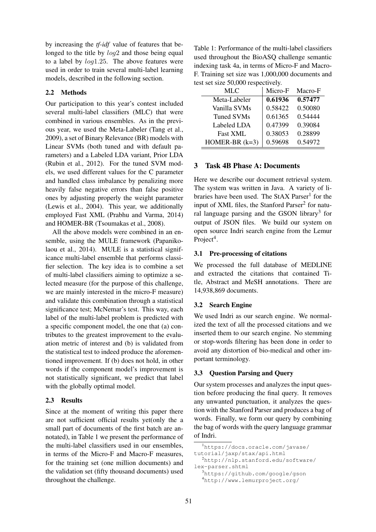by increasing the *tf-idf* value of features that belonged to the title by  $log2$  and those being equal to a label by log1.25. The above features were used in order to train several multi-label learning models, described in the following section.

# 2.2 Methods

Our participation to this year's contest included several multi-label classifiers (MLC) that were combined in various ensembles. As in the previous year, we used the Meta-Labeler (Tang et al., 2009), a set of Binary Relevance (BR) models with Linear SVMs (both tuned and with default parameters) and a Labeled LDA variant, Prior LDA (Rubin et al., 2012). For the tuned SVM models, we used different values for the C parameter and handled class imbalance by penalizing more heavily false negative errors than false positive ones by adjusting properly the weight parameter (Lewis et al., 2004). This year, we additionally employed Fast XML (Prabhu and Varma, 2014) and HOMER-BR (Tsoumakas et al., 2008).

All the above models were combined in an ensemble, using the MULE framework (Papanikolaou et al., 2014). MULE is a statistical significance multi-label ensemble that performs classifier selection. The key idea is to combine a set of multi-label classifiers aiming to optimize a selected measure (for the purpose of this challenge, we are mainly interested in the micro-F measure) and validate this combination through a statistical significance test; McNemar's test. This way, each label of the multi-label problem is predicted with a specific component model, the one that (a) contributes to the greatest improvement to the evaluation metric of interest and (b) is validated from the statistical test to indeed produce the aforementioned improvement. If (b) does not hold, in other words if the component model's improvement is not statistically significant, we predict that label with the globally optimal model.

### 2.3 Results

Since at the moment of writing this paper there are not sufficient official results yet(only the a small part of documents of the first batch are annotated), in Table 1 we present the performance of the multi-label classifiers used in our ensembles, in terms of the Micro-F and Macro-F measures, for the training set (one million documents) and the validation set (fifty thousand documents) used throughout the challenge.

Table 1: Performance of the multi-label classifiers used throughout the BioASQ challenge semantic indexing task 4a, in terms of Micro-F and Macro-F. Training set size was 1,000,000 documents and test set size 50,000 respectively.

| MLC               | Micro-F | Macro-F |
|-------------------|---------|---------|
| Meta-Labeler      | 0.61936 | 0.57477 |
| Vanilla SVMs      | 0.58422 | 0.50080 |
| <b>Tuned SVMs</b> | 0.61365 | 0.54444 |
| Labeled LDA       | 0.47399 | 0.39084 |
| <b>Fast XML</b>   | 0.38053 | 0.28899 |
| HOMER-BR $(k=3)$  | 0.59698 | 0.54972 |

### 3 Task 4B Phase A: Documents

Here we describe our document retrieval system. The system was written in Java. A variety of libraries have been used. The StAX Parser<sup>1</sup> for the input of XML files, the Stanford Parser<sup>2</sup> for natural language parsing and the GSON library<sup>3</sup> for output of JSON files. We build our system on open source Indri search engine from the Lemur Project<sup>4</sup>.

#### 3.1 Pre-processing of citations

We processed the full database of MEDLINE and extracted the citations that contained Title, Abstract and MeSH annotations. There are 14,938,869 documents.

#### 3.2 Search Engine

We used Indri as our search engine. We normalized the text of all the processed citations and we inserted them to our search engine. No stemming or stop-words filtering has been done in order to avoid any distortion of bio-medical and other important terminology.

### 3.3 Question Parsing and Query

Our system processes and analyzes the input question before producing the final query. It removes any unwanted punctuation, it analyzes the question with the Stanford Parser and produces a bag of words. Finally, we form our query by combining the bag of words with the query language grammar of Indri.

https://docs.oracle.com/javase/ tutorial/jaxp/stax/api.html http://nlp.stanford.edu/software/ lex-parser.shtml https://github.com/google/gson http://www.lemurproject.org/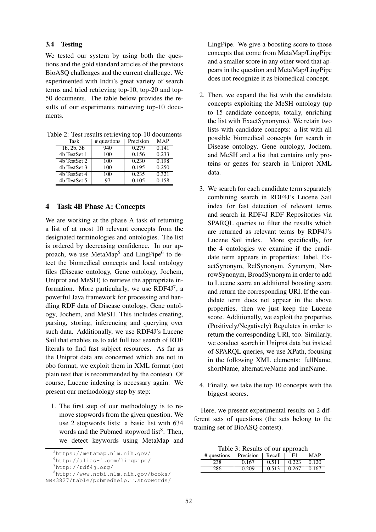### 3.4 Testing

We tested our system by using both the questions and the gold standard articles of the previous BioASQ challenges and the current challenge. We experimented with Indri's great variety of search terms and tried retrieving top-10, top-20 and top-50 documents. The table below provides the results of our experiments retrieving top-10 documents.

|  | Task               | # questions | Precision | MAP   |  |
|--|--------------------|-------------|-----------|-------|--|
|  | $1b$ , $2b$ , $3b$ | 940         | 0.279     | 0.141 |  |
|  | 4b TestSet 1       | 100         | 0.156     | 0.233 |  |
|  | 4b TestSet 2       | 100         | 0.230     | 0.198 |  |
|  | 4b TestSet 3       | 100         | 0.195     | 0.250 |  |
|  | 4b TestSet 4       | 100         | 0.235     | 0.321 |  |
|  | 4b TestSet 5       | 97          | 0.105     | 0.158 |  |

Table 2: Test results retrieving top-10 documents

# 4 Task 4B Phase A: Concepts

We are working at the phase A task of returning a list of at most 10 relevant concepts from the designated terminologies and ontologies. The list is ordered by decreasing confidence. In our approach, we use MetaMap<sup>5</sup> and LingPipe<sup>6</sup> to detect the biomedical concepts and local ontology files (Disease ontology, Gene ontology, Jochem, Uniprot and MeSH) to retrieve the appropriate information. More particularly, we use RDF4J $^7$ , a powerful Java framework for processing and handling RDF data of Disease ontology, Gene ontology, Jochem, and MeSH. This includes creating, parsing, storing, inferencing and querying over such data. Additionally, we use RDF4J's Lucene Sail that enables us to add full text search of RDF literals to find fast subject resources. As far as the Uniprot data are concerned which are not in obo format, we exploit them in XML format (not plain text that is recommended by the contest). Of course, Lucene indexing is necessary again. We present our methodology step by step:

1. The first step of our methodology is to remove stopwords from the given question. We use 2 stopwords lists: a basic list with 634 words and the Pubmed stopword list<sup>8</sup>. Then, we detect keywords using MetaMap and LingPipe. We give a boosting score to those concepts that come from MetaMap/LingPipe and a smaller score in any other word that appears in the question and MetaMap/LingPipe does not recognize it as biomedical concept.

- 2. Then, we expand the list with the candidate concepts exploiting the MeSH ontology (up to 15 candidate concepts, totally, enriching the list with ExactSynonyms). We retain two lists with candidate concepts: a list with all possible biomedical concepts for search in Disease ontology, Gene ontology, Jochem, and MeSH and a list that contains only proteins or genes for search in Uniprot XML data.
- 3. We search for each candidate term separately combining search in RDF4J's Lucene Sail index for fast detection of relevant terms and search in RDF4J RDF Repositories via SPARQL queries to filter the results which are returned as relevant terms by RDF4J's Lucene Sail index. More specifically, for the 4 ontologies we examine if the candidate term appears in properties: label, ExactSynonym, RelSynonym, Synonym, NarrowSynonym, BroadSynonym in order to add to Lucene score an additional boosting score and return the corresponding URI. If the candidate term does not appear in the above properties, then we just keep the Lucene score. Additionally, we exploit the properties (Positively/Negatively) Regulates in order to return the corresponding URI, too. Similarly, we conduct search in Uniprot data but instead of SPARQL queries, we use XPath, focusing in the following XML elements: fullName, shortName, alternativeName and innName.
- 4. Finally, we take the top 10 concepts with the biggest scores.

Here, we present experimental results on 2 different sets of questions (the sets belong to the training set of BioASQ contest).

Table 3: Results of our approach

| # questions | Precision | Recall | F1    | MAP   |
|-------------|-----------|--------|-------|-------|
| 238         | 0.167     | 0.511  | 0.223 | 0.120 |
| 286         | 0.209     | 0.513  | 0.267 | 0.167 |

<sup>5</sup>https://metamap.nlm.nih.gov/

<sup>6</sup>http://alias-i.com/lingpipe/

<sup>7</sup>http://rdf4j.org/

<sup>8</sup>http://www.ncbi.nlm.nih.gov/books/ NBK3827/table/pubmedhelp.T.stopwords/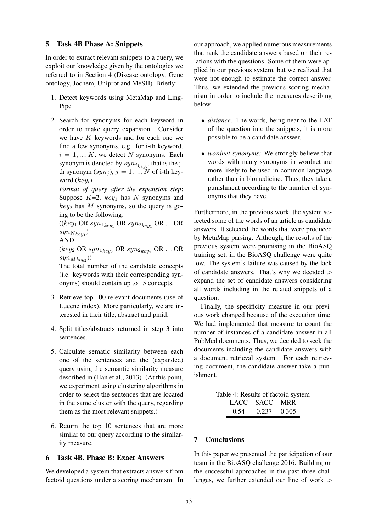### 5 Task 4B Phase A: Snippets

In order to extract relevant snippets to a query, we exploit our knowledge given by the ontologies we referred to in Section 4 (Disease ontology, Gene ontology, Jochem, Uniprot and MeSH). Briefly:

- 1. Detect keywords using MetaMap and Ling-Pipe
- 2. Search for synonyms for each keyword in order to make query expansion. Consider we have  $K$  keywords and for each one we find a few synonyms, e.g. for i-th keyword,  $i = 1, ..., K$ , we detect N synonyms. Each synonym is denoted by  $syn_{j_{key_i}}$ , that is the jth synonym  $(syn<sub>j</sub>)$ ,  $j = 1, ..., N$  of i-th keyword  $(key_i)$ .

*Format of query after the expansion step*: Suppose  $K=2$ ,  $key_1$  has N synonyms and  $key_2$  has M synonyms, so the query is going to be the following:

 $((key_1 \text{ OR } syn_{1key_1} \text{ OR } syn_{2key_1} \text{ OR } ... \text{ OR }$  $syn_{N_{key_1}}$ 

AND

 $(key_2 \text{ OR } syn_{1key_2} \text{ OR } syn_{2key_2} \text{ OR } ... \text{ OR }$  $syn_{Mkey_2}$ )

The total number of the candidate concepts (i.e. keywords with their corresponding synonyms) should contain up to 15 concepts.

- 3. Retrieve top 100 relevant documents (use of Lucene index). More particularly, we are interested in their title, abstract and pmid.
- 4. Split titles/abstracts returned in step 3 into sentences.
- 5. Calculate sematic similarity between each one of the sentences and the (expanded) query using the semantic similarity measure described in (Han et al., 2013). (At this point, we experiment using clustering algorithms in order to select the sentences that are located in the same cluster with the query, regarding them as the most relevant snippets.)
- 6. Return the top 10 sentences that are more similar to our query according to the similarity measure.

# 6 Task 4B, Phase B: Exact Answers

We developed a system that extracts answers from factoid questions under a scoring mechanism. In

our approach, we applied numerous measurements that rank the candidate answers based on their relations with the questions. Some of them were applied in our previous system, but we realized that were not enough to estimate the correct answer. Thus, we extended the previous scoring mechanism in order to include the measures describing below.

- *distance:* The words, being near to the LAT of the question into the snippets, it is more possible to be a candidate answer.
- *wordnet synonyms:* We strongly believe that words with many synonyms in wordnet are more likely to be used in common language rather than in biomedicine. Thus, they take a punishment according to the number of synonyms that they have.

Furthermore, in the previous work, the system selected some of the words of an article as candidate answers. It selected the words that were produced by MetaMap parsing. Although, the results of the previous system were promising in the BioASQ training set, in the BioASQ challenge were quite low. The system's failure was caused by the lack of candidate answers. That's why we decided to expand the set of candidate answers considering all words including in the related snippets of a question.

Finally, the specificity measure in our previous work changed because of the execution time. We had implemented that measure to count the number of instances of a candidate answer in all PubMed documents. Thus, we decided to seek the documents including the candidate answers with a document retrieval system. For each retrieving document, the candidate answer take a punishment.

| Table 4: Results of factoid system |  |                        |  |
|------------------------------------|--|------------------------|--|
|                                    |  | LACC   SACC   MRR      |  |
|                                    |  | $0.54$   0.237   0.305 |  |

# 7 Conclusions

In this paper we presented the participation of our team in the BioASQ challenge 2016. Building on the successful approaches in the past three challenges, we further extended our line of work to